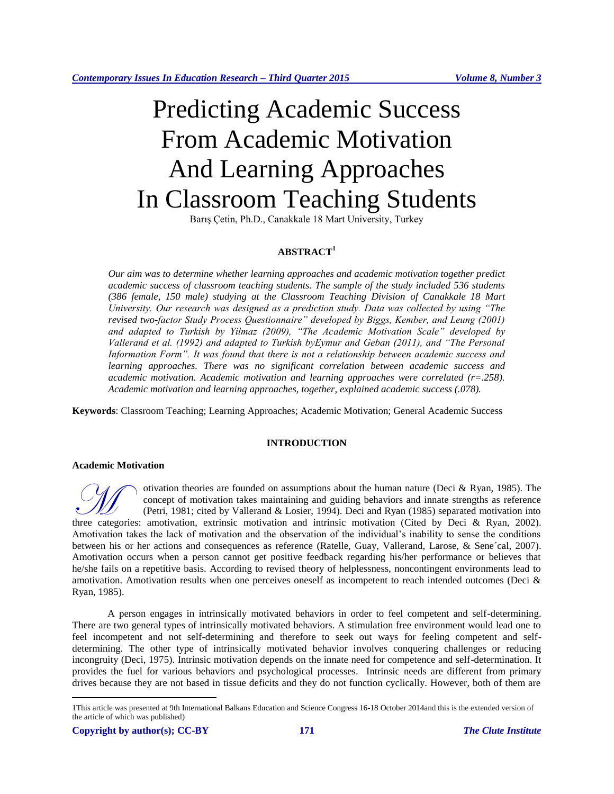# Predicting Academic Success From Academic Motivation And Learning Approaches In Classroom Teaching Students

Barış Çetin, Ph.D., Canakkale 18 Mart University, Turkey

# **ABSTRACT<sup>1</sup>**

*Our aim was to determine whether learning approaches and academic motivation together predict academic success of classroom teaching students. The sample of the study included 536 students (386 female, 150 male) studying at the Classroom Teaching Division of Canakkale 18 Mart University. Our research was designed as a prediction study. Data was collected by using "The revised two-factor Study Process Questionnaire" developed by Biggs, Kember, and Leung (2001) and adapted to Turkish by Yilmaz (2009), "The Academic Motivation Scale" developed by Vallerand et al. (1992) and adapted to Turkish byEymur and Geban (2011), and "The Personal Information Form". It was found that there is not a relationship between academic success and learning approaches. There was no significant correlation between academic success and academic motivation. Academic motivation and learning approaches were correlated (r=.258). Academic motivation and learning approaches, together, explained academic success (.078).*

**Keywords**: Classroom Teaching; Learning Approaches; Academic Motivation; General Academic Success

# **INTRODUCTION**

#### **Academic Motivation**

otivation theories are founded on assumptions about the human nature (Deci & Ryan, 1985). The concept of motivation takes maintaining and guiding behaviors and innate strengths as reference (Petri, 1981; cited by Vallerand & Losier, 1994). Deci and Ryan (1985) separated motivation into The concept of motivation takes maintaining and guiding behaviors and innate strengths as reference (Petri, 1981; cited by Vallerand & Losier, 1994). Deci and Ryan (1985) separated motivation into three categories: amotiva Amotivation takes the lack of motivation and the observation of the individual's inability to sense the conditions between his or her actions and consequences as reference (Ratelle, Guay, Vallerand, Larose, & Sene´cal, 2007). Amotivation occurs when a person cannot get positive feedback regarding his/her performance or believes that he/she fails on a repetitive basis. According to revised theory of helplessness, noncontingent environments lead to amotivation. Amotivation results when one perceives oneself as incompetent to reach intended outcomes (Deci & Ryan, 1985).

A person engages in intrinsically motivated behaviors in order to feel competent and self-determining. There are two general types of intrinsically motivated behaviors. A stimulation free environment would lead one to feel incompetent and not self-determining and therefore to seek out ways for feeling competent and selfdetermining. The other type of intrinsically motivated behavior involves conquering challenges or reducing incongruity (Deci, 1975). Intrinsic motivation depends on the innate need for competence and self-determination. It provides the fuel for various behaviors and psychological processes. Intrinsic needs are different from primary drives because they are not based in tissue deficits and they do not function cyclically. However, both of them are

 $\overline{a}$ 

<sup>1</sup>This article was presented at 9th International Balkans Education and Science Congress 16-18 October 2014and this is the extended version of the article of which was published)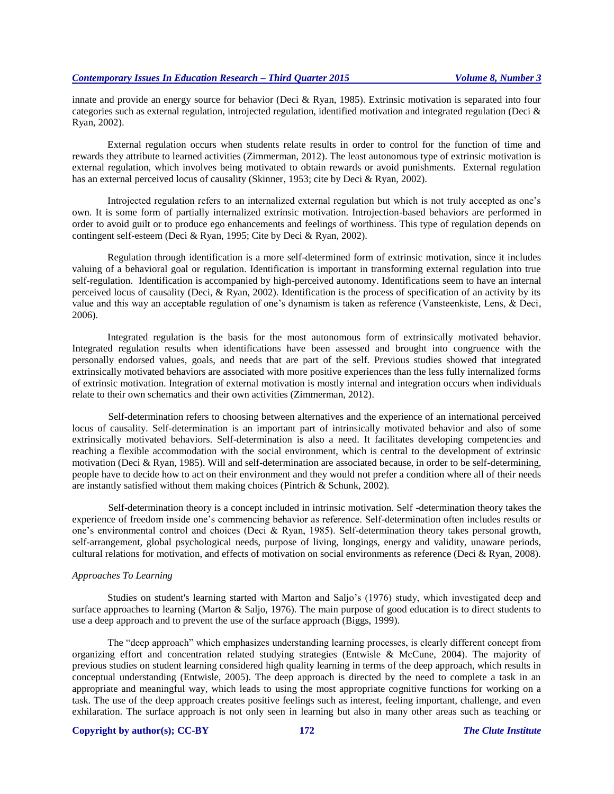innate and provide an energy source for behavior (Deci & Ryan, 1985). Extrinsic motivation is separated into four categories such as external regulation, introjected regulation, identified motivation and integrated regulation (Deci & Ryan, 2002).

External regulation occurs when students relate results in order to control for the function of time and rewards they attribute to learned activities (Zimmerman, 2012). The least autonomous type of extrinsic motivation is external regulation, which involves being motivated to obtain rewards or avoid punishments. External regulation has an external perceived locus of causality (Skinner, 1953; cite by Deci & Ryan, 2002).

Introjected regulation refers to an internalized external regulation but which is not truly accepted as one's own. It is some form of partially internalized extrinsic motivation. Introjection-based behaviors are performed in order to avoid guilt or to produce ego enhancements and feelings of worthiness. This type of regulation depends on contingent self-esteem (Deci & Ryan, 1995; Cite by Deci & Ryan, 2002).

Regulation through identification is a more self-determined form of extrinsic motivation, since it includes valuing of a behavioral goal or regulation. Identification is important in transforming external regulation into true self-regulation. Identification is accompanied by high-perceived autonomy. Identifications seem to have an internal perceived locus of causality (Deci, & Ryan, 2002). Identification is the process of specification of an activity by its value and this way an acceptable regulation of one's dynamism is taken as reference (Vansteenkiste, Lens, & Deci, 2006).

Integrated regulation is the basis for the most autonomous form of extrinsically motivated behavior. Integrated regulation results when identifications have been assessed and brought into congruence with the personally endorsed values, goals, and needs that are part of the self. Previous studies showed that integrated extrinsically motivated behaviors are associated with more positive experiences than the less fully internalized forms of extrinsic motivation. Integration of external motivation is mostly internal and integration occurs when individuals relate to their own schematics and their own activities (Zimmerman, 2012).

Self-determination refers to choosing between alternatives and the experience of an international perceived locus of causality. Self-determination is an important part of intrinsically motivated behavior and also of some extrinsically motivated behaviors. Self-determination is also a need. It facilitates developing competencies and reaching a flexible accommodation with the social environment, which is central to the development of extrinsic motivation (Deci & Ryan, 1985). Will and self-determination are associated because, in order to be self-determining, people have to decide how to act on their environment and they would not prefer a condition where all of their needs are instantly satisfied without them making choices (Pintrich & Schunk, 2002).

Self-determination theory is a concept included in intrinsic motivation. Self -determination theory takes the experience of freedom inside one's commencing behavior as reference. Self-determination often includes results or one's environmental control and choices (Deci & Ryan, 1985). Self-determination theory takes personal growth, self-arrangement, global psychological needs, purpose of living, longings, energy and validity, unaware periods, cultural relations for motivation, and effects of motivation on social environments as reference (Deci & Ryan, 2008).

#### *Approaches To Learning*

Studies on student's learning started with Marton and Saljo's (1976) study, which investigated deep and surface approaches to learning (Marton & Saljo, 1976). The main purpose of good education is to direct students to use a deep approach and to prevent the use of the surface approach (Biggs, 1999).

The "deep approach" which emphasizes understanding learning processes, is clearly different concept from organizing effort and concentration related studying strategies (Entwisle & McCune, 2004). The majority of previous studies on student learning considered high quality learning in terms of the deep approach, which results in conceptual understanding (Entwisle, 2005). The deep approach is directed by the need to complete a task in an appropriate and meaningful way, which leads to using the most appropriate cognitive functions for working on a task. The use of the deep approach creates positive feelings such as interest, feeling important, challenge, and even exhilaration. The surface approach is not only seen in learning but also in many other areas such as teaching or

#### **Copyright by author(s); CC-BY 172** *The Clute Institute*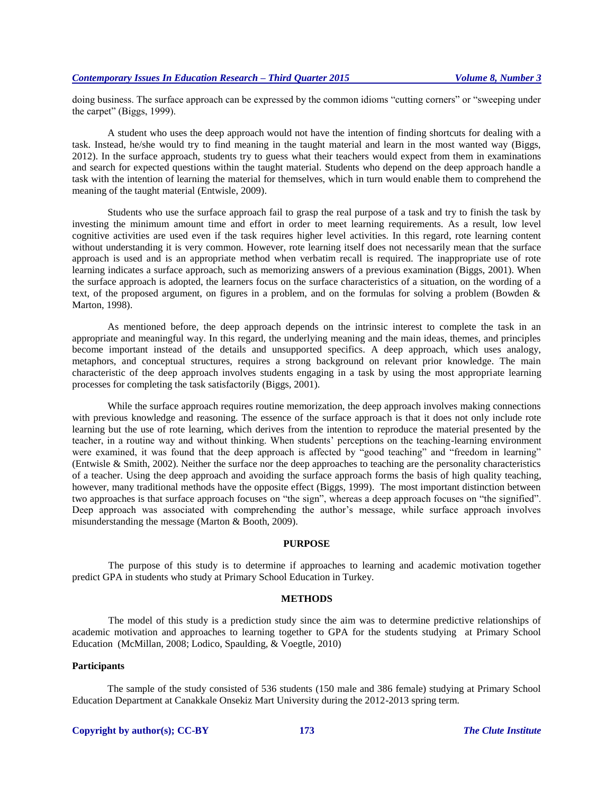doing business. The surface approach can be expressed by the common idioms "cutting corners" or "sweeping under the carpet" (Biggs, 1999).

A student who uses the deep approach would not have the intention of finding shortcuts for dealing with a task. Instead, he/she would try to find meaning in the taught material and learn in the most wanted way (Biggs, 2012). In the surface approach, students try to guess what their teachers would expect from them in examinations and search for expected questions within the taught material. Students who depend on the deep approach handle a task with the intention of learning the material for themselves, which in turn would enable them to comprehend the meaning of the taught material (Entwisle, 2009).

Students who use the surface approach fail to grasp the real purpose of a task and try to finish the task by investing the minimum amount time and effort in order to meet learning requirements. As a result, low level cognitive activities are used even if the task requires higher level activities. In this regard, rote learning content without understanding it is very common. However, rote learning itself does not necessarily mean that the surface approach is used and is an appropriate method when verbatim recall is required. The inappropriate use of rote learning indicates a surface approach, such as memorizing answers of a previous examination (Biggs, 2001). When the surface approach is adopted, the learners focus on the surface characteristics of a situation, on the wording of a text, of the proposed argument, on figures in a problem, and on the formulas for solving a problem (Bowden & Marton, 1998).

As mentioned before, the deep approach depends on the intrinsic interest to complete the task in an appropriate and meaningful way. In this regard, the underlying meaning and the main ideas, themes, and principles become important instead of the details and unsupported specifics. A deep approach, which uses analogy, metaphors, and conceptual structures, requires a strong background on relevant prior knowledge. The main characteristic of the deep approach involves students engaging in a task by using the most appropriate learning processes for completing the task satisfactorily (Biggs, 2001).

While the surface approach requires routine memorization, the deep approach involves making connections with previous knowledge and reasoning. The essence of the surface approach is that it does not only include rote learning but the use of rote learning, which derives from the intention to reproduce the material presented by the teacher, in a routine way and without thinking. When students' perceptions on the teaching-learning environment were examined, it was found that the deep approach is affected by "good teaching" and "freedom in learning" (Entwisle & Smith, 2002). Neither the surface nor the deep approaches to teaching are the personality characteristics of a teacher. Using the deep approach and avoiding the surface approach forms the basis of high quality teaching, however, many traditional methods have the opposite effect (Biggs, 1999). The most important distinction between two approaches is that surface approach focuses on "the sign", whereas a deep approach focuses on "the signified". Deep approach was associated with comprehending the author's message, while surface approach involves misunderstanding the message (Marton & Booth, 2009).

#### **PURPOSE**

The purpose of this study is to determine if approaches to learning and academic motivation together predict GPA in students who study at Primary School Education in Turkey.

#### **METHODS**

The model of this study is a prediction study since the aim was to determine predictive relationships of academic motivation and approaches to learning together to GPA for the students studying at Primary School Education (McMillan, 2008; Lodico, Spaulding, & Voegtle, 2010)

#### **Participants**

The sample of the study consisted of 536 students (150 male and 386 female) studying at Primary School Education Department at Canakkale Onsekiz Mart University during the 2012-2013 spring term.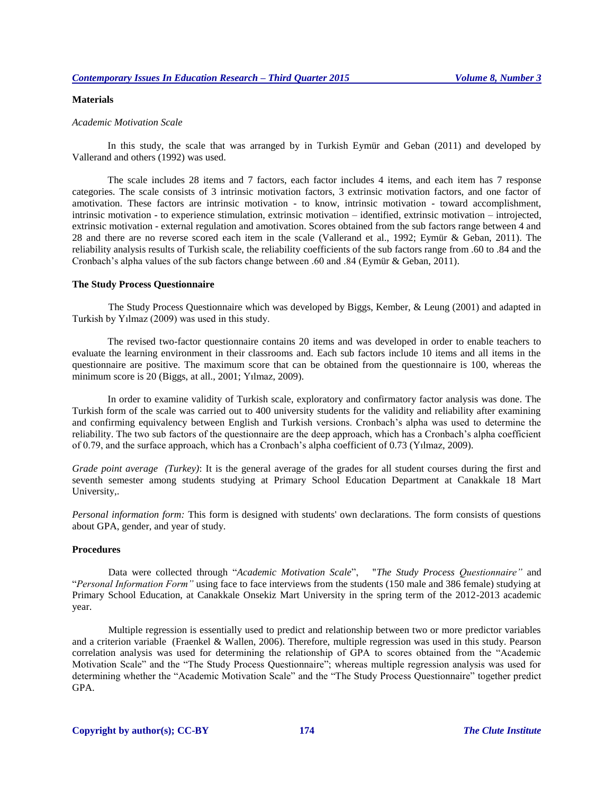### **Materials**

#### *Academic Motivation Scale*

In this study, the scale that was arranged by in Turkish Eymür and Geban (2011) and developed by Vallerand and others (1992) was used.

The scale includes 28 items and 7 factors, each factor includes 4 items, and each item has 7 response categories. The scale consists of 3 intrinsic motivation factors, 3 extrinsic motivation factors, and one factor of amotivation. These factors are intrinsic motivation - to know, intrinsic motivation - toward accomplishment, intrinsic motivation - to experience stimulation, extrinsic motivation – identified, extrinsic motivation – introjected, extrinsic motivation - external regulation and amotivation. Scores obtained from the sub factors range between 4 and 28 and there are no reverse scored each item in the scale (Vallerand et al., 1992; Eymür & Geban, 2011). The reliability analysis results of Turkish scale, the reliability coefficients of the sub factors range from .60 to .84 and the Cronbach's alpha values of the sub factors change between .60 and .84 (Eymür & Geban, 2011).

#### **The Study Process Questionnaire**

The Study Process Questionnaire which was developed by Biggs, Kember, & Leung (2001) and adapted in Turkish by Yılmaz (2009) was used in this study.

The revised two-factor questionnaire contains 20 items and was developed in order to enable teachers to evaluate the learning environment in their classrooms and. Each sub factors include 10 items and all items in the questionnaire are positive. The maximum score that can be obtained from the questionnaire is 100, whereas the minimum score is 20 (Biggs, at all., 2001; Yılmaz, 2009).

In order to examine validity of Turkish scale, exploratory and confirmatory factor analysis was done. The Turkish form of the scale was carried out to 400 university students for the validity and reliability after examining and confirming equivalency between English and Turkish versions. Cronbach's alpha was used to determine the reliability. The two sub factors of the questionnaire are the deep approach, which has a Cronbach's alpha coefficient of 0.79, and the surface approach, which has a Cronbach's alpha coefficient of 0.73 (Yılmaz, 2009).

*Grade point average (Turkey)*: It is the general average of the grades for all student courses during the first and seventh semester among students studying at Primary School Education Department at Canakkale 18 Mart University,.

*Personal information form:* This form is designed with students' own declarations. The form consists of questions about GPA, gender, and year of study.

#### **Procedures**

Data were collected through "*Academic Motivation Scale*", "*The Study Process Questionnaire"* and "*Personal Information Form"* using face to face interviews from the students (150 male and 386 female) studying at Primary School Education, at Canakkale Onsekiz Mart University in the spring term of the 2012-2013 academic year.

Multiple regression is essentially used to predict and relationship between two or more predictor variables and a criterion variable (Fraenkel & Wallen, 2006). Therefore, multiple regression was used in this study. Pearson correlation analysis was used for determining the relationship of GPA to scores obtained from the "Academic Motivation Scale" and the "The Study Process Questionnaire"; whereas multiple regression analysis was used for determining whether the "Academic Motivation Scale" and the "The Study Process Questionnaire" together predict GPA.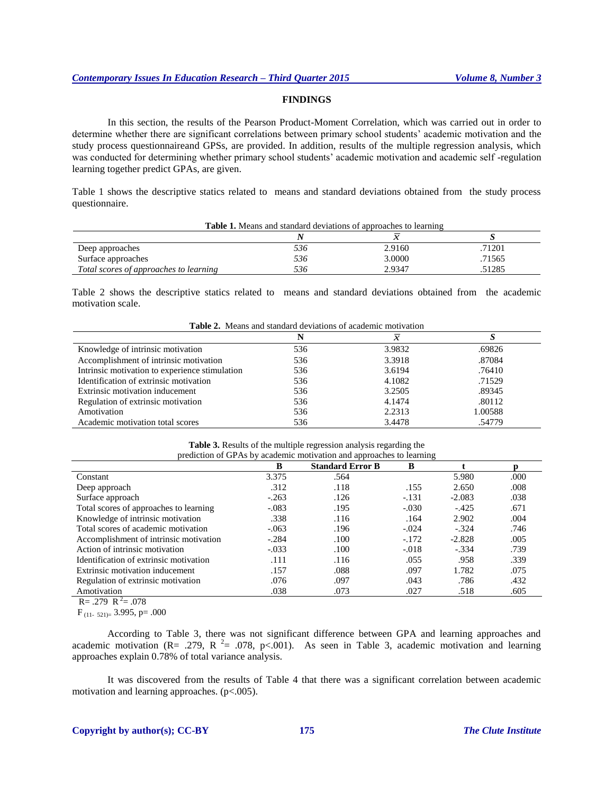## **FINDINGS**

In this section, the results of the Pearson Product-Moment Correlation, which was carried out in order to determine whether there are significant correlations between primary school students' academic motivation and the study process questionnaireand GPSs, are provided. In addition, results of the multiple regression analysis, which was conducted for determining whether primary school students' academic motivation and academic self -regulation learning together predict GPAs, are given.

Table 1 shows the descriptive statics related to means and standard deviations obtained from the study process questionnaire.

|                                        |     | <b>Table 1.</b> Means and standard deviations of approaches to learning |        |
|----------------------------------------|-----|-------------------------------------------------------------------------|--------|
|                                        |     |                                                                         |        |
| Deep approaches                        | 536 | 2.9160                                                                  | .71201 |
| Surface approaches                     | 536 | 3.0000                                                                  | .71565 |
| Total scores of approaches to learning | 536 | 2.9347                                                                  | 51285. |

Table 2 shows the descriptive statics related to means and standard deviations obtained from the academic motivation scale.

| <b>Table 2.</b> Theans and standard deviations of academic motivation |     |               |         |  |  |
|-----------------------------------------------------------------------|-----|---------------|---------|--|--|
|                                                                       | N   | $\mathcal{X}$ |         |  |  |
| Knowledge of intrinsic motivation                                     | 536 | 3.9832        | .69826  |  |  |
| Accomplishment of intrinsic motivation                                | 536 | 3.3918        | .87084  |  |  |
| Intrinsic motivation to experience stimulation                        | 536 | 3.6194        | .76410  |  |  |
| Identification of extrinsic motivation                                | 536 | 4.1082        | .71529  |  |  |
| Extrinsic motivation inducement                                       | 536 | 3.2505        | .89345  |  |  |
| Regulation of extrinsic motivation                                    | 536 | 4.1474        | .80112  |  |  |
| Amotivation                                                           | 536 | 2.2313        | 1.00588 |  |  |
| Academic motivation total scores                                      | 536 | 3.4478        | .54779  |  |  |

**Table 2.**Means and standard deviations of academic motivation

|  | <b>Table 3.</b> Results of the multiple regression analysis regarding the |
|--|---------------------------------------------------------------------------|
|  | prediction of GPAs by academic motivation and approaches to learning      |

| $\mu$ . $\mu$ . $\mu$ . $\mu$ . $\mu$ . $\mu$ . $\mu$ . $\mu$ . $\mu$<br>$arctan$ and $arctan$ and approaches to rearming |         |                         |         |          |      |
|---------------------------------------------------------------------------------------------------------------------------|---------|-------------------------|---------|----------|------|
|                                                                                                                           | B       | <b>Standard Error B</b> | B       |          |      |
| Constant                                                                                                                  | 3.375   | .564                    |         | 5.980    | .000 |
| Deep approach                                                                                                             | .312    | .118                    | .155    | 2.650    | .008 |
| Surface approach                                                                                                          | $-.263$ | .126                    | $-.131$ | $-2.083$ | .038 |
| Total scores of approaches to learning                                                                                    | $-.083$ | .195                    | $-.030$ | $-.425$  | .671 |
| Knowledge of intrinsic motivation                                                                                         | .338    | .116                    | .164    | 2.902    | .004 |
| Total scores of academic motivation                                                                                       | $-.063$ | .196                    | $-.024$ | $-.324$  | .746 |
| Accomplishment of intrinsic motivation                                                                                    | $-.284$ | .100                    | $-172$  | $-2.828$ | .005 |
| Action of intrinsic motivation                                                                                            | $-.033$ | .100                    | $-.018$ | $-.334$  | .739 |
| Identification of extrinsic motivation                                                                                    | .111    | .116                    | .055    | .958     | .339 |
| Extrinsic motivation inducement                                                                                           | .157    | .088                    | .097    | 1.782    | .075 |
| Regulation of extrinsic motivation                                                                                        | .076    | .097                    | .043    | .786     | .432 |
| Amotivation                                                                                                               | .038    | .073                    | .027    | .518     | .605 |

 $R = .279 R^2 = .078$ 

 $F_{(11-521)=}$  3.995, p= .000

According to Table 3, there was not significant difference between GPA and learning approaches and academic motivation (R= .279, R<sup>2</sup>= .078, p<.001). As seen in Table 3, academic motivation and learning approaches explain 0.78% of total variance analysis.

It was discovered from the results of Table 4 that there was a significant correlation between academic motivation and learning approaches. (p<.005).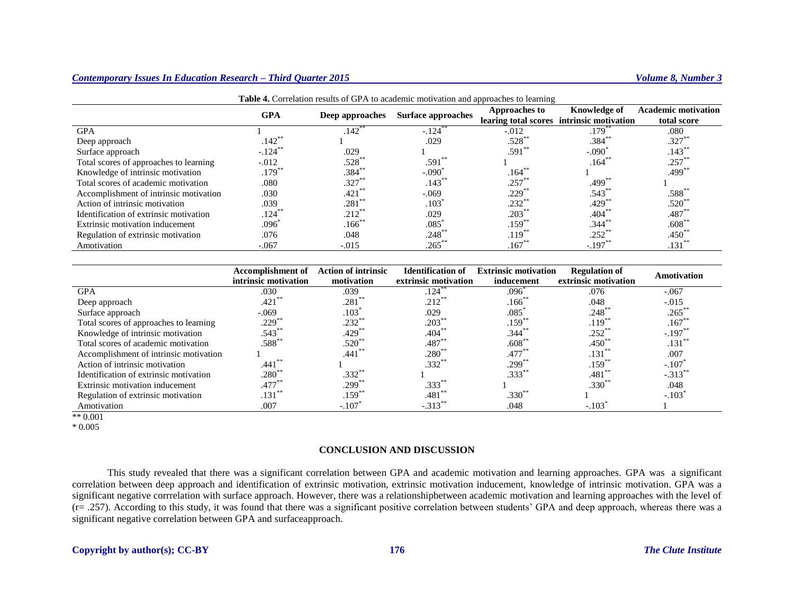| <b>Twore</b> if correlation results of Gr. Tr to academic motivation and approaches to rearming |                     |                     |                           |                      |                                                                  |                                           |
|-------------------------------------------------------------------------------------------------|---------------------|---------------------|---------------------------|----------------------|------------------------------------------------------------------|-------------------------------------------|
|                                                                                                 | <b>GPA</b>          | Deep approaches     | <b>Surface approaches</b> | <b>Approaches to</b> | <b>Knowledge of</b><br>learing total scores intrinsic motivation | <b>Academic motivation</b><br>total score |
|                                                                                                 |                     |                     |                           |                      |                                                                  |                                           |
| <b>GPA</b>                                                                                      |                     | $.142$ <sup>*</sup> | $-.124$                   | $-.012$              | $.179*$                                                          | .080                                      |
| Deep approach                                                                                   | .142 <sup>°</sup>   |                     | .029                      | .528                 | $.384**$                                                         | $.327**$                                  |
| Surface approach                                                                                | $-.124$ **          | .029                |                           | $.591*$              | $-.090^{\circ}$                                                  | $.143***$                                 |
| Total scores of approaches to learning                                                          | $-.012$             | $.528*$             | $.591**$                  |                      | $.164*$                                                          | $.257*$                                   |
| Knowledge of intrinsic motivation                                                               | $.179*$             | $.384**$            | $-.090^{\circ}$           | $.164*$              |                                                                  | $.499**$                                  |
| Total scores of academic motivation                                                             | .080                | $.327**$            | $.143***$                 | .257                 | .499*                                                            |                                           |
| Accomplishment of intrinsic motivation                                                          | .030                | $.421$ **           | $-.069$                   | .229°                | .543                                                             | $.588^{**}$                               |
| Action of intrinsic motivation                                                                  | .039                | $.281**$            | .103 <sup>′</sup>         | $.232**$             | $.429$ <sup>*</sup>                                              | $.520**$                                  |
| Identification of extrinsic motivation                                                          | $.124$ <sup>*</sup> | $212^{*}$           | .029                      | .203                 | .404                                                             | $.487*$                                   |
| Extrinsic motivation inducement                                                                 | $.096^{\circ}$      | $.166$ **           | .085                      | $.159**$             | $.344***$                                                        | $.608**$                                  |
| Regulation of extrinsic motivation                                                              | .076                | .048                | $.248***$                 | .119 <sup>°</sup>    | $.252$ **                                                        | $.450^{*}$                                |
| Amotivation                                                                                     | $-.067$             | $-.015$             | $.265***$                 | .167                 | $-.197$                                                          | .131                                      |

**Table 4.** Correlation results of GPA to academic motivation and approaches to learning

|                                        | <b>Accomplishment of</b> | <b>Action of intrinsic</b><br><b>Identification of</b><br><b>Extrinsic motivation</b><br><b>Regulation of</b> |                      |                      | Amotivation          |                      |
|----------------------------------------|--------------------------|---------------------------------------------------------------------------------------------------------------|----------------------|----------------------|----------------------|----------------------|
|                                        | intrinsic motivation     | motivation                                                                                                    | extrinsic motivation | inducement           | extrinsic motivation |                      |
| <b>GPA</b>                             | .030                     | .039                                                                                                          | .124                 | .096                 | .076                 | $-.067$              |
| Deep approach                          | .421                     | $.281**$                                                                                                      | $.212$ <sup>*</sup>  | $.166*$              | .048                 | $-.015$              |
| Surface approach                       | $-.069$                  | .103                                                                                                          | .029                 | $.085$ <sup>*</sup>  | $.248*$              | $.265*$              |
| Total scores of approaches to learning | $.229$ <sup>*</sup>      | $.232***$                                                                                                     | $.203^{\degree}$     | $.159*$              | $.119$ **            | $.167*$              |
| Knowledge of intrinsic motivation      | .543                     | $.429$ <sup>**</sup>                                                                                          | .404                 | $.344$ <sup>**</sup> | $.252$ **            | $-.197$ <sup>*</sup> |
| Total scores of academic motivation    | $.588^{**}$              | $.520**$                                                                                                      | .487                 | $.608*$              | $.450*$              | $.131*$              |
| Accomplishment of intrinsic motivation |                          | $.441$ **                                                                                                     | $.280^{\degree}$     | $.477*$              | .131                 | .007                 |
| Action of intrinsic motivation         | $.441$ **                |                                                                                                               | $.332**$             | $.299$ <sup>**</sup> | $.159***$            | $-.107$              |
| Identification of extrinsic motivation | $.280^\degree$           | $.332***$                                                                                                     |                      | $.333$ <sup>**</sup> | $.481$ <sup>**</sup> | $-.313$ <sup>*</sup> |
| Extrinsic motivation inducement        | $.477*$                  | $.299***$                                                                                                     | .333 <sup>°</sup>    |                      | $.330*$              | .048                 |
| Regulation of extrinsic motivation     | .131                     | $.159***$                                                                                                     | .481                 | $.330^{**}$          |                      | $-.103$ <sup>*</sup> |
| Amotivation                            | .007                     | $-.107$                                                                                                       | $-.313$              | .048                 | $-.103$              |                      |

 $** 0.001$ 

\* 0.005

#### **CONCLUSION AND DISCUSSION**

This study revealed that there was a significant correlation between GPA and academic motivation and learning approaches. GPA was a significant correlation between deep approach and identification of extrinsic motivation, extrinsic motivation inducement, knowledge of intrinsic motivation. GPA was a significant negative corrrelation with surface approach. However, there was a relationshipbetween academic motivation and learning approaches with the level of  $(r=.257)$ . According to this study, it was found that there was a significant positive correlation between students' GPA and deep approach, whereas there was a significant negative correlation between GPA and surfaceapproach.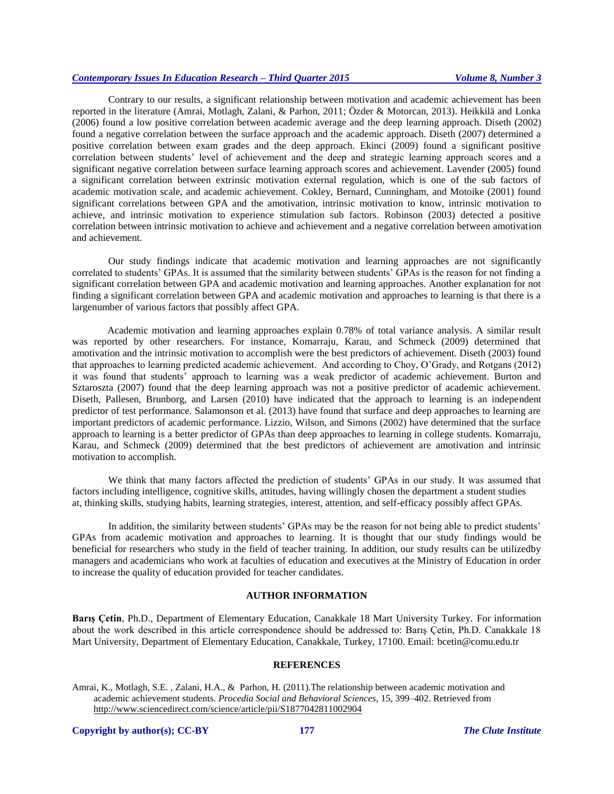Contrary to our results, a significant relationship between motivation and academic achievement has been reported in the literature (Amrai, Motlagh, Zalani, & Parhon, 2011; Özder & Motorcan, 2013). Heikkilä and Lonka (2006) found a low positive correlation between academic average and the deep learning approach. Diseth (2002) found a negative correlation between the surface approach and the academic approach. Diseth (2007) determined a positive correlation between exam grades and the deep approach. Ekinci (2009) found a significant positive correlation between students' level of achievement and the deep and strategic learning approach scores and a significant negative correlation between surface learning approach scores and achievement. Lavender (2005) found a significant correlation between extrinsic motivation external regulation, which is one of the sub factors of academic motivation scale, and academic achievement. Cokley, Bernard, Cunningham, and Motoike (2001) found significant correlations between GPA and the amotivation, intrinsic motivation to know, intrinsic motivation to achieve, and intrinsic motivation to experience stimulation sub factors. Robinson (2003) detected a positive correlation between intrinsic motivation to achieve and achievement and a negative correlation between amotivation and achievement.

Our study findings indicate that academic motivation and learning approaches are not significantly correlated to students' GPAs. It is assumed that the similarity between students' GPAs is the reason for not finding a significant correlation between GPA and academic motivation and learning approaches. Another explanation for not finding a significant correlation between GPA and academic motivation and approaches to learning is that there is a largenumber of various factors that possibly affect GPA.

Academic motivation and learning approaches explain 0.78% of total variance analysis. A similar result was reported by other researchers. For instance, Komarraju, Karau, and Schmeck (2009) determined that amotivation and the intrinsic motivation to accomplish were the best predictors of achievement. Diseth (2003) found that approaches to learning predicted academic achievement. And according to Choy, O'Grady, and Rotgans (2012) it was found that students' approach to learning was a weak predictor of academic achievement. Burton and Sztaroszta (2007) found that the deep learning approach was not a positive predictor of academic achievement. Diseth, Pallesen, Brunborg, and Larsen (2010) have indicated that the approach to learning is an independent predictor of test performance. Salamonson et al. (2013) have found that surface and deep approaches to learning are important predictors of academic performance. Lizzio, Wilson, and Simons (2002) have determined that the surface approach to learning is a better predictor of GPAs than deep approaches to learning in college students. Komarraju, Karau, and Schmeck (2009) determined that the best predictors of achievement are amotivation and intrinsic motivation to accomplish.

We think that many factors affected the prediction of students' GPAs in our study. It was assumed that factors including intelligence, cognitive skills, attitudes, having willingly chosen the department a student studies at, thinking skills, studying habits, learning strategies, interest, attention, and self-efficacy possibly affect GPAs.

In addition, the similarity between students' GPAs may be the reason for not being able to predict students' GPAs from academic motivation and approaches to learning. It is thought that our study findings would be beneficial for researchers who study in the field of teacher training. In addition, our study results can be utilizedby managers and academicians who work at faculties of education and executives at the Ministry of Education in order to increase the quality of education provided for teacher candidates.

# **AUTHOR INFORMATION**

**Barış Çetin**, Ph.D., Department of Elementary Education, Canakkale 18 Mart University Turkey. For information about the work described in this article correspondence should be addressed to: Barış Çetin, Ph.D. Canakkale 18 Mart University, Department of Elementary Education, Canakkale, Turkey, 17100. Email: [bcetin@comu.edu.tr](mailto:bcetin@comu.edu.tr)

#### **REFERENCES**

Amrai, K., Motlagh, S.E. , Zalani, H.A., & Parhon, H. (2011).The relationship between academic motivation and academic achievement students*. Procedia Social and Behavioral Sciences,* 15, 399–402. Retrieved from <http://www.sciencedirect.com/science/article/pii/S1877042811002904>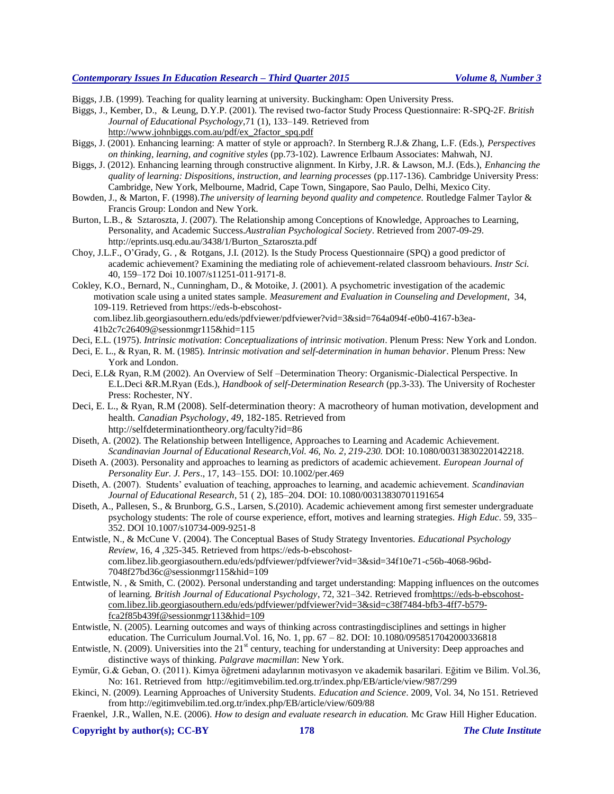Biggs, J.B. (1999). Teaching for quality learning at university. Buckingham: Open University Press.

Biggs, J., Kember, D., & Leung, D.Y.P. (2001). The revised two-factor Study Process Questionnaire: R-SPQ-2F. *British Journal of Educational Psychology*,71 (1), 133–149. Retrieved from

[http://www.johnbiggs.com.au/pdf/ex\\_2factor\\_spq.pdf](http://www.johnbiggs.com.au/pdf/ex_2factor_spq.pdf)

- Biggs, J. (2001). Enhancing learning: A matter of style or approach?. In Sternberg R.J.& Zhang, L.F. (Eds.), *Perspectives on thinking, learning, and cognitive styles* (pp.73-102). Lawrence Erlbaum Associates: Mahwah, NJ.
- Biggs, J. (2012). Enhancing learning through constructive alignment. In Kirby, J.R. & Lawson, M.J. (Eds.), *Enhancing the quality of learning: Dispositions, instruction, and learning processes* (pp.117-136). Cambridge University Press: Cambridge, New York, Melbourne, Madrid, Cape Town, Singapore, Sao Paulo, Delhi, Mexico City.
- Bowden, J., & Marton, F. (1998).*The university of learning beyond quality and competence.* Routledge Falmer Taylor & Francis Group: London and New York.
- Burton, L.B., & Sztaroszta, J. (2007). The Relationship among Conceptions of Knowledge, Approaches to Learning, Personality, and Academic Success.*Australian Psychological Society*. Retrieved from 2007-09-29. http://eprints.usq.edu.au/3438/1/Burton\_Sztaroszta.pdf
- Choy, J.L.F., O'Grady, G. , & Rotgans, J.I. (2012). Is the Study Process Questionnaire (SPQ) a good predictor of academic achievement? Examining the mediating role of achievement-related classroom behaviours. *Instr Sci.* 40, 159–172 Doi 10.1007/s11251-011-9171-8.
- Cokley, K.O., Bernard, N., Cunningham, D., & Motoike, J. (2001). A psychometric investigation of the academic motivation scale using a united states sample. *Measurement and Evaluation in Counseling and Development*, 34, 109-119. Retrieved from https://eds-b-ebscohost-

com.libez.lib.georgiasouthern.edu/eds/pdfviewer/pdfviewer?vid=3&sid=764a094f-e0b0-4167-b3ea-41b2c7c26409@sessionmgr115&hid=115

- Deci, E.L. (1975). *Intrinsic motivation*: *Conceptualizations of intrinsic motivation*. Plenum Press: New York and London.
- Deci, E. L., & Ryan, R. M. (1985). *Intrinsic motivation and self-determination in human behavior*. Plenum Press: New York and London.
- Deci, E.L& Ryan, R.M (2002). An Overview of Self –Determination Theory: Organismic-Dialectical Perspective. In E.L.Deci &R.M.Ryan (Eds.), *Handbook of self-Determination Research* (pp.3-33). The University of Rochester Press: Rochester, NY.
- Deci, E. L., & Ryan, R.M (2008). Self-determination theory: A macrotheory of human motivation, development and health. *Canadian Psychology*, *49*, 182-185. Retrieved from <http://selfdeterminationtheory.org/faculty?id=86>
- Diseth, A. (2002). The Relationship between Intelligence, Approaches to Learning and Academic Achievement. *Scandinavian Journal of Educational Research,Vol. 46, No. 2, 219-230.* DOI: 10.1080/00313830220142218.
- Diseth A. (2003). Personality and approaches to learning as predictors of academic achievement. *European Journal of Personality Eur. J. Pers*., 17, 143–155. DOI: 10.1002/per.469
- Diseth, A. (2007). Students' evaluation of teaching, approaches to learning, and academic achievement. *Scandinavian Journal of Educational Research*, 51 ( 2), 185–204. DOI: 10.1080/00313830701191654
- Diseth, A., Pallesen, S., & Brunborg, G.S., Larsen, S.(2010). Academic achievement among first semester undergraduate psychology students: The role of course experience, effort, motives and learning strategies. *High Educ*. 59, 335– 352. DOI 10.1007/s10734-009-9251-8
- Entwistle, N., & McCune V. (2004). The Conceptual Bases of Study Strategy Inventories. *Educational Psychology Review*, 16, 4 ,325-345. Retrieved from https://eds-b-ebscohostcom.libez.lib.georgiasouthern.edu/eds/pdfviewer/pdfviewer?vid=3&sid=34f10e71-c56b-4068-96bd-7048f27bd36c@sessionmgr115&hid=109
- Entwistle, N. , & Smith, C. (2002). Personal understanding and target understanding: Mapping influences on the outcomes of learning*. British Journal of Educational Psychology*, 72, 321–342. Retrieved fro[mhttps://eds-b-ebscohost](https://eds-b-ebscohost-com.libez.lib.georgiasouthern.edu/eds/pdfviewer/pdfviewer?vid=3&sid=c38f7484-bfb3-4ff7-b579-fca2f85b439f@sessionmgr113&hid=109)[com.libez.lib.georgiasouthern.edu/eds/pdfviewer/pdfviewer?vid=3&sid=c38f7484-bfb3-4ff7-b579](https://eds-b-ebscohost-com.libez.lib.georgiasouthern.edu/eds/pdfviewer/pdfviewer?vid=3&sid=c38f7484-bfb3-4ff7-b579-fca2f85b439f@sessionmgr113&hid=109) [fca2f85b439f@sessionmgr113&hid=109](https://eds-b-ebscohost-com.libez.lib.georgiasouthern.edu/eds/pdfviewer/pdfviewer?vid=3&sid=c38f7484-bfb3-4ff7-b579-fca2f85b439f@sessionmgr113&hid=109)
- Entwistle, N. (2005). Learning outcomes and ways of thinking across contrastingdisciplines and settings in higher education. The Curriculum Journal.Vol. 16, No. 1, pp. 67 – 82. DOI: 10.1080/0958517042000336818
- Entwistle, N. (2009). Universities into the  $21<sup>st</sup>$  century, teaching for understanding at University: Deep approaches and distinctive ways of thinking. *Palgrave macmillan*: New York.
- Eymür, G.& Geban, O. (2011). Kimya öğretmeni adaylarının motivasyon ve akademik basarilari. Eğitim ve Bilim. Vol.36, No: 161. Retrieved from http://egitimvebilim.ted.org.tr/index.php/EB/article/view/987/299
- Ekinci, N. (2009). Learning Approaches of University Students. *Education and Science*. 2009, Vol. 34, No 151. Retrieved from http://egitimvebilim.ted.org.tr/index.php/EB/article/view/609/88
- Fraenkel, J.R., Wallen, N.E. (2006). *How to design and evaluate research in education.* Mc Graw Hill Higher Education.

**Copyright by author(s); CC-BY 178** *The Clute Institute*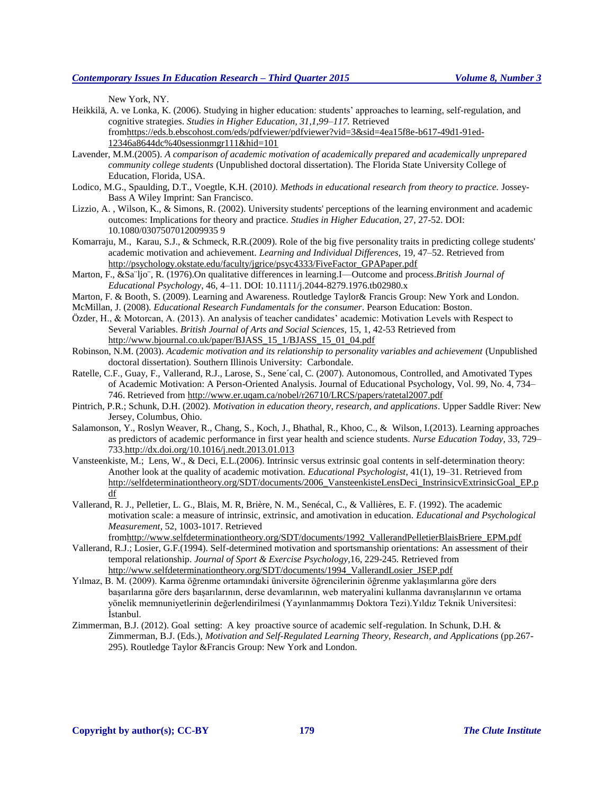New York, NY.

- Heikkilä, A. ve Lonka, K. (2006). Studying in higher education: students' approaches to learning, self-regulation, and cognitive strategies. *Studies in Higher Education, 31,1,99–117.* Retrieved fro[mhttps://eds.b.ebscohost.com/eds/pdfviewer/pdfviewer?vid=3&sid=4ea15f8e-b617-49d1-91ed-](https://eds.b.ebscohost.com/eds/pdfviewer/pdfviewer?vid=3&sid=4ea15f8e-b617-49d1-91ed-12346a8644dc%40sessionmgr111&hid=101)[12346a8644dc%40sessionmgr111&hid=101](https://eds.b.ebscohost.com/eds/pdfviewer/pdfviewer?vid=3&sid=4ea15f8e-b617-49d1-91ed-12346a8644dc%40sessionmgr111&hid=101)
- Lavender, M.M.(2005). *A comparison of academic motivation of academically prepared and academically unprepared community college students* (Unpublished doctoral dissertation). The Florida State University College of Education, Florida, USA.
- Lodico, M.G., Spaulding, D.T., Voegtle, K.H. (2010*). Methods in educational research from theory to practice.* Jossey-Bass A Wiley Imprint: San Francisco.
- Lizzio, A. , Wilson, K., & Simons, R. (2002). University students' perceptions of the learning environment and academic outcomes: Implications for theory and practice. *Studies in Higher Education,* 27, 27-52. DOI: 10.1080/0307507012009935 9
- Komarraju, M., Karau, S.J., & Schmeck, R.R.(2009). Role of the big five personality traits in predicting college students' academic motivation and achievement. *Learning and Individual Differences,* 19, 47–52. Retrieved from [http://psychology.okstate.edu/faculty/jgrice/psyc4333/FiveFactor\\_GPAPaper.pdf](http://psychology.okstate.edu/faculty/jgrice/psyc4333/FiveFactor_GPAPaper.pdf)
- Marton, F., &Sa¨ljo¨, R. (1976).On qualitative differences in learning.I—Outcome and process.*British Journal of Educational Psychology*, 46, 4–11. DOI: 10.1111/j.2044-8279.1976.tb02980.x
- Marton, F. & Booth, S. (2009). Learning and Awareness. Routledge Taylor& Francis Group: New York and London.
- McMillan, J. (2008). *Educational Research Fundamentals for the consumer*. Pearson Education: Boston.
- Özder, H., & Motorcan, A. (2013). An analysis of teacher candidates' academic: Motivation Levels with Respect to Several Variables. *British Journal of Arts and Social Sciences,* 15, 1, 42-53 Retrieved from [http://www.bjournal.co.uk/paper/BJASS\\_15\\_1/BJASS\\_15\\_01\\_04.pdf](http://www.bjournal.co.uk/paper/BJASS_15_1/BJASS_15_01_04.pdf)
- Robinson, N.M. (2003). *Academic motivation and its relationship to personality variables and achievement* (Unpublished doctoral dissertation). Southern Illinois University: Carbondale.
- Ratelle, C.F., Guay, F., Vallerand, R.J., Larose, S., Sene´cal, C. (2007). Autonomous, Controlled, and Amotivated Types of Academic Motivation: A Person-Oriented Analysis. Journal of Educational Psychology, Vol. 99, No. 4, 734– 746. Retrieved from<http://www.er.uqam.ca/nobel/r26710/LRCS/papers/ratetal2007.pdf>
- Pintrich, P.R.; Schunk, D.H. (2002). *Motivation in education theory, research, and applications*. Upper Saddle River: New Jersey, Columbus, Ohio.
- Salamonson, Y., Roslyn Weaver, R., Chang, S., Koch, J., Bhathal, R., Khoo, C., & Wilson, I.(2013). Learning approaches as predictors of academic performance in first year health and science students. *Nurse Education Today,* 33, 729– 73[3.http://dx.doi.org/10.1016/j.nedt.2013.01.013](http://dx.doi.org/10.1016/j.nedt.2013.01.013)
- Vansteenkiste, M.; Lens, W., & Deci, E.L.(2006). Intrinsic versus extrinsic goal contents in self-determination theory: Another look at the quality of academic motivation. *Educational Psychologist*, 41(1), 19–31. Retrieved from [http://selfdeterminationtheory.org/SDT/documents/2006\\_VansteenkisteLensDeci\\_InstrinsicvExtrinsicGoal\\_EP.p](http://selfdeterminationtheory.org/SDT/documents/2006_VansteenkisteLensDeci_InstrinsicvExtrinsicGoal_EP.pdf) [df](http://selfdeterminationtheory.org/SDT/documents/2006_VansteenkisteLensDeci_InstrinsicvExtrinsicGoal_EP.pdf)
- Vallerand, R. J., Pelletier, L. G., Blais, M. R, Brière, N. M., Senécal, C., & Vallières, E. F. (1992). The academic motivation scale: a measure of intrinsic, extrinsic, and amotivation in education. *Educational and Psychological Measurement*, 52, 1003-1017. Retrieved

fro[mhttp://www.selfdeterminationtheory.org/SDT/documents/1992\\_VallerandPelletierBlaisBriere\\_EPM.pdf](http://www.selfdeterminationtheory.org/SDT/documents/1992_VallerandPelletierBlaisBriere_EPM.pdf)

- Vallerand, R.J.; Losier, G.F.(1994). Self-determined motivation and sportsmanship orientations: An assessment of their temporal relationship. *Journal of Sport & Exercise Psychology,*16, 229-245. Retrieved from [http://www.selfdeterminationtheory.org/SDT/documents/1994\\_VallerandLosier\\_JSEP.pdf](http://www.selfdeterminationtheory.org/SDT/documents/1994_VallerandLosier_JSEP.pdf)
- Yılmaz, B. M. (2009). Karma öğrenme ortamındaki üniversite öğrencilerinin öğrenme yaklaşımlarına göre ders başarılarına göre ders başarılarının, derse devamlarının, web materyalini kullanma davranışlarının ve ortama yönelik memnuniyetlerinin değerlendirilmesi (Yayınlanmammış Doktora Tezi).Yıldız Teknik Universitesi: İstanbul.
- Zimmerman, B.J. (2012). Goal setting: A key proactive source of academic self-regulation. In Schunk, D.H. & Zimmerman, B.J. (Eds.), *Motivation and Self-Regulated Learning Theory, Research, and Applications* (pp.267- 295). Routledge Taylor &Francis Group: New York and London.